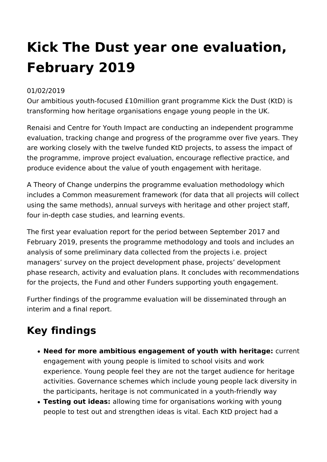## **Kick The Dust year one evaluation, February 2019**

## 01/02/2019

Our ambitious youth-focused £10million grant programme Kick the Dust (KtD) is transforming how heritage organisations engage young people in the UK.

Renaisi and Centre for Youth Impact are conducting an independent programme evaluation, tracking change and progress of the programme over five years. They are working closely with the twelve funded KtD projects, to assess the impact of the programme, improve project evaluation, encourage reflective practice, and produce evidence about the value of youth engagement with heritage.

A Theory of Change underpins the programme evaluation methodology which includes a Common measurement framework (for data that all projects will collect using the same methods), annual surveys with heritage and other project staff, four in-depth case studies, and learning events.

The first year evaluation report for the period between September 2017 and February 2019, presents the programme methodology and tools and includes an analysis of some preliminary data collected from the projects i.e. project managers' survey on the project development phase, projects' development phase research, activity and evaluation plans. It concludes with recommendations for the projects, the Fund and other Funders supporting youth engagement.

Further findings of the programme evaluation will be disseminated through an interim and a final report.

## **Key findings**

- **Need for more ambitious engagement of youth with heritage:** current engagement with young people is limited to school visits and work experience. Young people feel they are not the target audience for heritage activities. Governance schemes which include young people lack diversity in the participants, heritage is not communicated in a youth-friendly way
- **Testing out ideas:** allowing time for organisations working with young people to test out and strengthen ideas is vital. Each KtD project had a